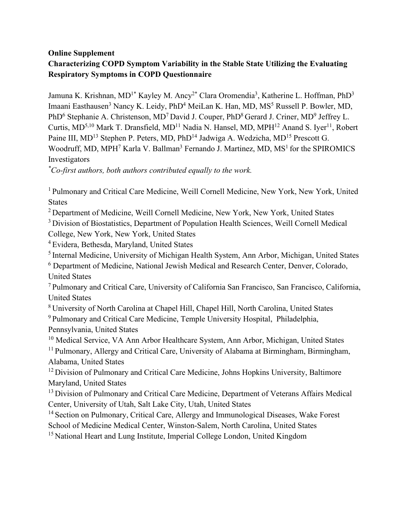### **Online Supplement Characterizing COPD Symptom Variability in the Stable State Utilizing the Evaluating Respiratory Symptoms in COPD Questionnaire**

Jamuna K. Krishnan, MD<sup>1\*</sup> Kayley M. Ancy<sup>2\*</sup> Clara Oromendia<sup>3</sup>, Katherine L. Hoffman, PhD<sup>3</sup> Imaani Easthausen<sup>3</sup> Nancy K. Leidy, PhD<sup>4</sup> MeiLan K. Han, MD, MS<sup>5</sup> Russell P. Bowler, MD, PhD<sup>6</sup> Stephanie A. Christenson, MD<sup>7</sup> David J. Couper, PhD<sup>8</sup> Gerard J. Criner, MD<sup>9</sup> Jeffrey L. Curtis, MD<sup>5,10</sup> Mark T. Dransfield, MD<sup>11</sup> Nadia N. Hansel, MD, MPH<sup>12</sup> Anand S. Iyer<sup>11</sup>, Robert Paine III, MD<sup>13</sup> Stephen P. Peters, MD, PhD<sup>14</sup> Jadwiga A. Wedzicha, MD<sup>15</sup> Prescott G. Woodruff, MD, MPH<sup>7</sup> Karla V. Ballman<sup>3</sup> Fernando J. Martinez, MD,  $MS<sup>1</sup>$  for the SPIROMICS Investigators

*\* Co-first authors, both authors contributed equally to the work.*

<sup>1</sup> Pulmonary and Critical Care Medicine, Weill Cornell Medicine, New York, New York, United States

<sup>2</sup> Department of Medicine, Weill Cornell Medicine, New York, New York, United States

<sup>3</sup> Division of Biostatistics, Department of Population Health Sciences, Weill Cornell Medical

College, New York, New York, United States 4 Evidera, Bethesda, Maryland, United States

<sup>5</sup> Internal Medicine, University of Michigan Health System, Ann Arbor, Michigan, United States

<sup>6</sup> Department of Medicine, National Jewish Medical and Research Center, Denver, Colorado, United States

<sup>7</sup> Pulmonary and Critical Care, University of California San Francisco, San Francisco, California, United States

<sup>8</sup> University of North Carolina at Chapel Hill, Chapel Hill, North Carolina, United States

<sup>9</sup> Pulmonary and Critical Care Medicine, Temple University Hospital, Philadelphia, Pennsylvania, United States<br><sup>10</sup> Medical Service, VA Ann Arbor Healthcare System, Ann Arbor, Michigan, United States

<sup>11</sup> Pulmonary, Allergy and Critical Care, University of Alabama at Birmingham, Birmingham, Alabama, United States

<sup>12</sup> Division of Pulmonary and Critical Care Medicine, Johns Hopkins University, Baltimore Maryland, United States

<sup>13</sup> Division of Pulmonary and Critical Care Medicine, Department of Veterans Affairs Medical Center, University of Utah, Salt Lake City, Utah, United States

<sup>14</sup> Section on Pulmonary, Critical Care, Allergy and Immunological Diseases, Wake Forest

School of Medicine Medical Center, Winston-Salem, North Carolina, United States

<sup>15</sup> National Heart and Lung Institute, Imperial College London, United Kingdom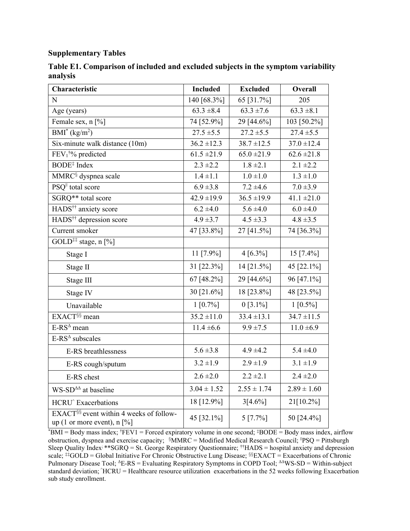#### **Supplementary Tables**

| Characteristic                                                                       | <b>Included</b>            | <b>Excluded</b> | <b>Overall</b>           |
|--------------------------------------------------------------------------------------|----------------------------|-----------------|--------------------------|
| N                                                                                    | 140 [68.3%]                | 65 [31.7%]      | 205                      |
| Age (years)                                                                          | $63.3 \pm 8.4$             | $63.3 \pm 7.6$  | $63.3 \pm 8.1$           |
| Female sex, n [%]                                                                    | 74 [52.9%]                 | 29 [44.6%]      | 103 [50.2%]              |
| $BMI^*(kg/m^2)$                                                                      | $27.5 \pm 5.5$             | $27.2 \pm 5.5$  | $27.4 \pm 5.5$           |
| Six-minute walk distance (10m)                                                       | $\frac{36.2 \pm 12.3}{ }$  | $38.7 \pm 12.5$ | $37.0 \pm 12.4$          |
| FEV <sub>1</sub> <sup>†%</sup> predicted                                             | $61.5 \pm 21.9$            | $65.0 \pm 21.9$ | $\overline{62.6}$ ± 21.8 |
| BODE <sup>‡</sup> Index                                                              | $2.3 \pm 2.2$              | $1.8 \pm 2.1$   | $2.1 \pm 2.2$            |
| MMRC <sup>§</sup> dyspnea scale                                                      | $1.4 \pm 1.1$              | $1.0 \pm 1.0$   | $1.3 \pm 1.0$            |
| PSQ <sup>II</sup> total score                                                        | $6.9 \pm 3.8$              | $7.2 \pm 4.6$   | $7.0 \pm 3.9$            |
| SGRQ** total score                                                                   | $42.9 \pm 19.9$            | $36.5 \pm 19.9$ | $41.1 \pm 21.0$          |
| HADS <sup>††</sup> anxiety score                                                     | $6.2 \pm 4.0$              | $5.6 \pm 4.0$   | $6.0 = 4.0$              |
| HADS <sup>††</sup> depression score                                                  | $4.9 \pm 3.7$              | $4.5 \pm 3.3$   | $4.8 \pm 3.5$            |
| Current smoker                                                                       | 47 [33.8%]                 | 27 [41.5%]      | 74 [36.3%]               |
| GOLD <sup>‡‡</sup> stage, n [%]                                                      |                            |                 |                          |
| Stage I                                                                              | 11 [7.9%]                  | $4 [6.3\%]$     | 15 [7.4%]                |
| Stage II                                                                             | 31 [22.3%]                 | 14 [21.5%]      | 45 [22.1%]               |
| Stage III                                                                            | 67 [48.2%]                 | 29 [44.6%]      | 96 [47.1%]               |
| Stage IV                                                                             | 30 [21.6%]                 | 18 [23.8%]      | 48 [23.5%]               |
| Unavailable                                                                          | $1 [0.7\%]$                | $0 [3.1\%]$     | $1 [0.5\%]$              |
| EXACT <sup>§§</sup> mean                                                             | $\overline{35.2} \pm 11.0$ | $33.4 \pm 13.1$ | $34.7 \pm 11.5$          |
| E-RS <sup>A</sup> mean                                                               | $11.4 \pm 6.6$             | $9.9 \pm 7.5$   | $11.0 \pm 6.9$           |
| E-RS <sup>△</sup> subscales                                                          |                            |                 |                          |
| E-RS breathlessness                                                                  | $5.6 \pm 3.8$              | $4.9 \pm 4.2$   | $5.4 \pm 4.0$            |
| E-RS cough/sputum                                                                    | $3.2 \pm 1.9$              | $2.9 \pm 1.9$   | $3.1 \pm 1.9$            |
| E-RS chest                                                                           | $2.6 \pm 2.0$              | $2.2 \pm 2.1$   | $2.4 \pm 2.0$            |
| WS-SD <sup><math>\triangle\Delta</math></sup> at baseline                            | $3.04 \pm 1.52$            | $2.55 \pm 1.74$ | $2.89 \pm 1.60$          |
| HCRU <sup>^</sup> Exacerbations                                                      | 18 [12.9%]                 | 3[4.6%]         | 21[10.2%]                |
| EXACT <sup>§§</sup> event within 4 weeks of follow-<br>up (1 or more event), $n$ [%] | 45 [32.1%]                 | $5 [7.7\%]$     | 50 [24.4%]               |

**Table E1. Comparison of included and excluded subjects in the symptom variability analysis** 

\* BMI = Body mass index; † FEV1 = Forced expiratory volume in one second; ‡BODE = Body mass index, airflow obstruction, dyspnea and exercise capacity;  $\delta M M R C =$  Modified Medical Research Council; <sup>1</sup>PSQ = Pittsburgh Sleep Quality Index; \*\*SGRQ = St. George Respiratory Questionnaire; ††HADS = hospital anxiety and depression scale; #GOLD = Global Initiative For Chronic Obstructive Lung Disease; §§EXACT = Exacerbations of Chronic Pulmonary Disease Tool; <sup>Δ</sup>E-RS = Evaluating Respiratory Symptoms in COPD Tool; ΔΔWS-SD = Within-subject standard deviation;  $\text{'HCRU}$  = Healthcare resource utilization exacerbations in the 52 weeks following Exacerbation sub study enrollment.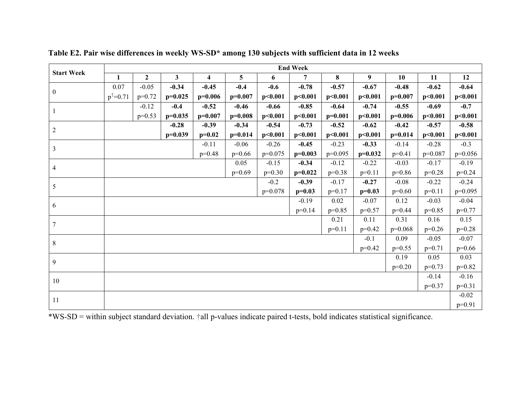| <b>Start Week</b> | <b>End Week</b>                                          |                |                         |                         |                |           |           |           |           |           |           |           |
|-------------------|----------------------------------------------------------|----------------|-------------------------|-------------------------|----------------|-----------|-----------|-----------|-----------|-----------|-----------|-----------|
|                   | 1                                                        | $\overline{2}$ | $\overline{\mathbf{3}}$ | $\overline{\mathbf{4}}$ | $\overline{5}$ | 6         | 7         | 8         | 9         | 10        | 11        | 12        |
| $\overline{0}$    | 0.07                                                     | $-0.05$        | $-0.34$                 | $-0.45$                 | $-0.4$         | $-0.6$    | $-0.78$   | $-0.57$   | $-0.67$   | $-0.48$   | $-0.62$   | $-0.64$   |
|                   | $p^{\dagger} = 0.71$                                     | $p=0.72$       | $p=0.025$               | $p=0.006$               | $p=0.007$      | p<0.001   | p<0.001   | p<0.001   | p<0.001   | $p=0.007$ | p<0.001   | p<0.001   |
| -1                |                                                          | $-0.12$        | $-0.4$                  | $-0.52$                 | $-0.46$        | $-0.66$   | $-0.85$   | $-0.64$   | $-0.74$   | $-0.55$   | $-0.69$   | $-0.7$    |
|                   |                                                          | $p=0.53$       | $p=0.035$               | $p=0.007$               | $p=0.008$      | p<0.001   | p<0.001   | $p=0.001$ | p<0.001   | $p=0.006$ | p<0.001   | p<0.001   |
| $\overline{2}$    |                                                          |                | $-0.28$                 | $-0.39$                 | $-0.34$        | $-0.54$   | $-0.73$   | $-0.52$   | $-0.62$   | $-0.42$   | $-0.57$   | $-0.58$   |
|                   |                                                          |                | $p=0.039$               | $p=0.02$                | $p=0.014$      | p<0.001   | p<0.001   | p<0.001   | p<0.001   | $p=0.014$ | p<0.001   | p<0.001   |
| $\mathfrak{Z}$    |                                                          |                |                         | $-0.11$                 | $-0.06$        | $-0.26$   | $-0.45$   | $-0.23$   | $-0.33$   | $-0.14$   | $-0.28$   | $-0.3$    |
|                   |                                                          |                |                         | $p=0.48$                | $p=0.66$       | $p=0.075$ | $p=0.003$ | $p=0.095$ | $p=0.032$ | $p=0.41$  | $p=0.087$ | $p=0.056$ |
| $\overline{4}$    |                                                          |                |                         |                         | 0.05           | $-0.15$   | $-0.34$   | $-0.12$   | $-0.22$   | $-0.03$   | $-0.17$   | $-0.19$   |
|                   |                                                          |                |                         |                         | $p=0.69$       | $p=0.30$  | $p=0.022$ | $p=0.38$  | $p=0.11$  | $p=0.86$  | $p=0.28$  | $p=0.24$  |
| 5                 |                                                          |                |                         |                         |                | $-0.2$    | $-0.39$   | $-0.17$   | $-0.27$   | $-0.08$   | $-0.22$   | $-0.24$   |
|                   |                                                          |                |                         |                         |                | $p=0.078$ | $p=0.03$  | $p=0.17$  | $p=0.03$  | $p=0.60$  | $p=0.11$  | $p=0.095$ |
| 6                 |                                                          |                |                         |                         |                |           | $-0.19$   | 0.02      | $-0.07$   | 0.12      | $-0.03$   | $-0.04$   |
|                   | $p=0.85$<br>$p=0.14$<br>$p=0.57$<br>$p=0.44$<br>$p=0.85$ |                |                         |                         |                |           |           |           |           |           | $p=0.77$  |           |
| $\boldsymbol{7}$  |                                                          |                |                         |                         |                |           |           | 0.21      | 0.11      | 0.31      | 0.16      | 0.15      |
|                   | $p=0.11$<br>$p=0.42$<br>$p=0.068$                        |                |                         |                         |                |           |           | $p=0.26$  | $p=0.28$  |           |           |           |
| $\,8\,$           |                                                          |                |                         |                         |                |           |           |           | $-0.1$    | 0.09      | $-0.05$   | $-0.07$   |
|                   |                                                          |                |                         |                         |                |           |           |           | $p=0.42$  | $p=0.55$  | $p=0.71$  | $p=0.66$  |
| 9                 |                                                          |                |                         |                         |                |           |           |           |           | 0.19      | 0.05      | 0.03      |
|                   |                                                          |                |                         |                         |                |           |           |           |           | $p=0.20$  | $p=0.73$  | $p=0.82$  |
| 10                |                                                          |                |                         |                         |                |           |           |           |           |           | $-0.14$   | $-0.16$   |
|                   | $p=0.37$                                                 |                |                         |                         |                |           |           |           |           |           | $p=0.31$  |           |
| 11                |                                                          |                |                         |                         |                |           |           |           | $-0.02$   |           |           |           |
|                   |                                                          |                |                         |                         |                |           |           |           |           |           |           | $p=0.91$  |

**Table E2. Pair wise differences in weekly WS-SD\* among 130 subjects with sufficient data in 12 weeks**

\*WS-SD = within subject standard deviation. †all p-values indicate paired t-tests, bold indicates statistical significance.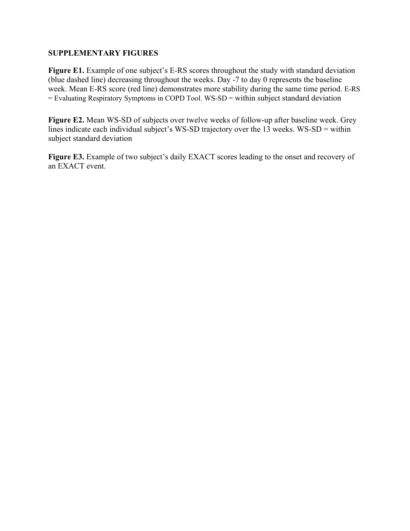#### **SUPPLEMENTARY FIGURES**

Figure E1. Example of one subject's E-RS scores throughout the study with standard deviation (blue dashed line) decreasing throughout the weeks. Day -7 to day 0 represents the baseline week. Mean E-RS score (red line) demonstrates more stability during the same time period. E-RS = Evaluating Respiratory Symptoms in COPD Tool. WS-SD = within subject standard deviation

**Figure E2.** Mean WS-SD of subjects over twelve weeks of follow-up after baseline week. Grey lines indicate each individual subject's WS-SD trajectory over the 13 weeks. WS-SD = within subject standard deviation

Figure E3. Example of two subject's daily EXACT scores leading to the onset and recovery of an EXACT event.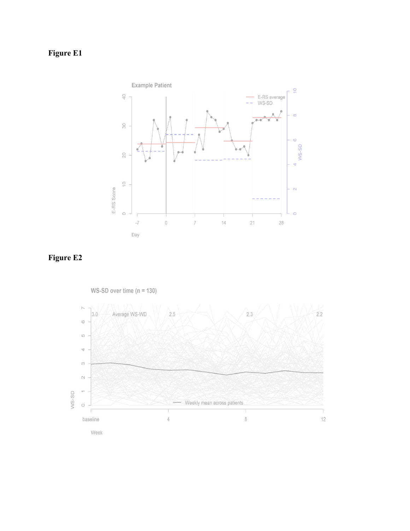## **Figure E1**



### **Figure E2**